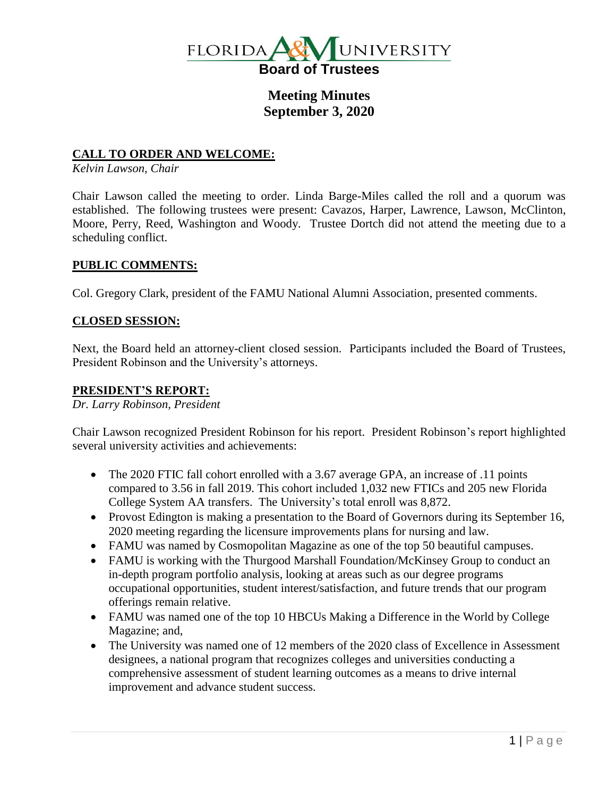

# **Meeting Minutes September 3, 2020**

### **CALL TO ORDER AND WELCOME:**

*Kelvin Lawson, Chair*

Chair Lawson called the meeting to order. Linda Barge-Miles called the roll and a quorum was established. The following trustees were present: Cavazos, Harper, Lawrence, Lawson, McClinton, Moore, Perry, Reed, Washington and Woody. Trustee Dortch did not attend the meeting due to a scheduling conflict.

### **PUBLIC COMMENTS:**

Col. Gregory Clark, president of the FAMU National Alumni Association, presented comments.

#### **CLOSED SESSION:**

Next, the Board held an attorney-client closed session. Participants included the Board of Trustees, President Robinson and the University's attorneys.

### **PRESIDENT'S REPORT:**

*Dr. Larry Robinson, President*

Chair Lawson recognized President Robinson for his report. President Robinson's report highlighted several university activities and achievements:

- The 2020 FTIC fall cohort enrolled with a 3.67 average GPA, an increase of .11 points compared to 3.56 in fall 2019. This cohort included 1,032 new FTICs and 205 new Florida College System AA transfers. The University's total enroll was 8,872.
- Provost Edington is making a presentation to the Board of Governors during its September 16, 2020 meeting regarding the licensure improvements plans for nursing and law.
- FAMU was named by Cosmopolitan Magazine as one of the top 50 beautiful campuses.
- FAMU is working with the Thurgood Marshall Foundation/McKinsey Group to conduct an in-depth program portfolio analysis, looking at areas such as our degree programs occupational opportunities, student interest/satisfaction, and future trends that our program offerings remain relative.
- FAMU was named one of the top 10 HBCUs Making a Difference in the World by College Magazine; and,
- The University was named one of 12 members of the 2020 class of Excellence in Assessment designees, a national program that recognizes colleges and universities conducting a comprehensive assessment of student learning outcomes as a means to drive internal improvement and advance student success.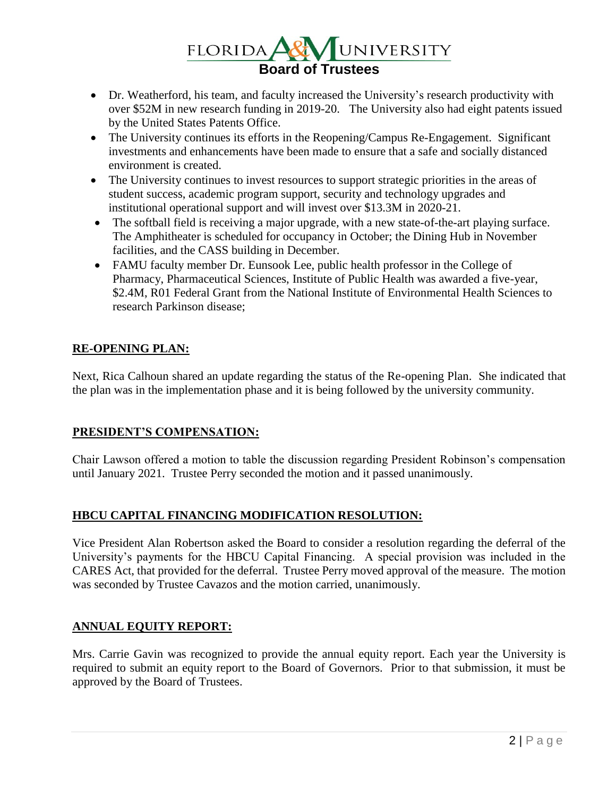

- Dr. Weatherford, his team, and faculty increased the University's research productivity with over \$52M in new research funding in 2019-20. The University also had eight patents issued by the United States Patents Office.
- The University continues its efforts in the Reopening/Campus Re-Engagement. Significant investments and enhancements have been made to ensure that a safe and socially distanced environment is created.
- The University continues to invest resources to support strategic priorities in the areas of student success, academic program support, security and technology upgrades and institutional operational support and will invest over \$13.3M in 2020-21.
- The softball field is receiving a major upgrade, with a new state-of-the-art playing surface. The Amphitheater is scheduled for occupancy in October; the Dining Hub in November facilities, and the CASS building in December.
- FAMU faculty member Dr. Eunsook Lee, public health professor in the College of Pharmacy, Pharmaceutical Sciences, Institute of Public Health was awarded a five-year, \$2.4M, R01 Federal Grant from the National Institute of Environmental Health Sciences to research Parkinson disease;

## **RE-OPENING PLAN:**

Next, Rica Calhoun shared an update regarding the status of the Re-opening Plan. She indicated that the plan was in the implementation phase and it is being followed by the university community.

## **PRESIDENT'S COMPENSATION:**

Chair Lawson offered a motion to table the discussion regarding President Robinson's compensation until January 2021. Trustee Perry seconded the motion and it passed unanimously.

## **HBCU CAPITAL FINANCING MODIFICATION RESOLUTION:**

Vice President Alan Robertson asked the Board to consider a resolution regarding the deferral of the University's payments for the HBCU Capital Financing. A special provision was included in the CARES Act, that provided for the deferral. Trustee Perry moved approval of the measure. The motion was seconded by Trustee Cavazos and the motion carried, unanimously.

## **ANNUAL EQUITY REPORT:**

Mrs. Carrie Gavin was recognized to provide the annual equity report. Each year the University is required to submit an equity report to the Board of Governors. Prior to that submission, it must be approved by the Board of Trustees.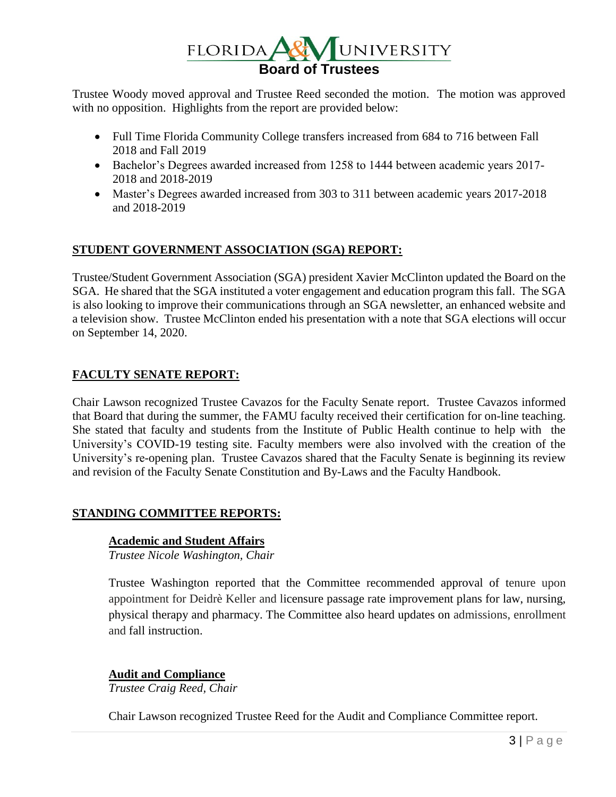

Trustee Woody moved approval and Trustee Reed seconded the motion. The motion was approved with no opposition. Highlights from the report are provided below:

- Full Time Florida Community College transfers increased from 684 to 716 between Fall 2018 and Fall 2019
- Bachelor's Degrees awarded increased from 1258 to 1444 between academic years 2017- 2018 and 2018-2019
- Master's Degrees awarded increased from 303 to 311 between academic years 2017-2018 and 2018-2019

## **STUDENT GOVERNMENT ASSOCIATION (SGA) REPORT:**

Trustee/Student Government Association (SGA) president Xavier McClinton updated the Board on the SGA. He shared that the SGA instituted a voter engagement and education program this fall. The SGA is also looking to improve their communications through an SGA newsletter, an enhanced website and a television show. Trustee McClinton ended his presentation with a note that SGA elections will occur on September 14, 2020.

## **FACULTY SENATE REPORT:**

Chair Lawson recognized Trustee Cavazos for the Faculty Senate report. Trustee Cavazos informed that Board that during the summer, the FAMU faculty received their certification for on-line teaching. She stated that faculty and students from the Institute of Public Health continue to help with the University's COVID-19 testing site. Faculty members were also involved with the creation of the University's re-opening plan. Trustee Cavazos shared that the Faculty Senate is beginning its review and revision of the Faculty Senate Constitution and By-Laws and the Faculty Handbook.

## **STANDING COMMITTEE REPORTS:**

### **Academic and Student Affairs**

*Trustee Nicole Washington, Chair*

Trustee Washington reported that the Committee recommended approval of tenure upon appointment for Deidrè Keller and licensure passage rate improvement plans for law, nursing, physical therapy and pharmacy. The Committee also heard updates on admissions, enrollment and fall instruction.

### **Audit and Compliance**

*Trustee Craig Reed, Chair*

Chair Lawson recognized Trustee Reed for the Audit and Compliance Committee report.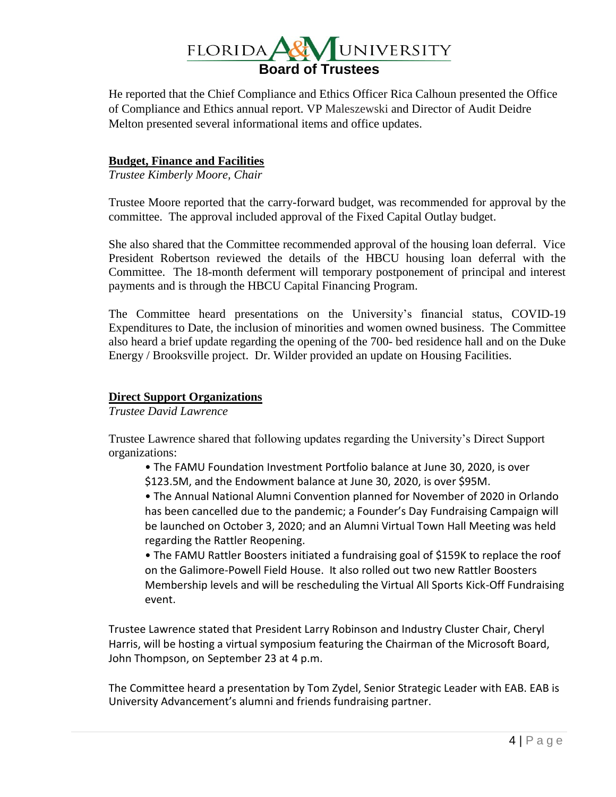

He reported that the Chief Compliance and Ethics Officer Rica Calhoun presented the Office of Compliance and Ethics annual report. VP Maleszewski and Director of Audit Deidre Melton presented several informational items and office updates.

### **Budget, Finance and Facilities**

*Trustee Kimberly Moore, Chair*

Trustee Moore reported that the carry-forward budget, was recommended for approval by the committee. The approval included approval of the Fixed Capital Outlay budget.

She also shared that the Committee recommended approval of the housing loan deferral. Vice President Robertson reviewed the details of the HBCU housing loan deferral with the Committee. The 18-month deferment will temporary postponement of principal and interest payments and is through the HBCU Capital Financing Program.

The Committee heard presentations on the University's financial status, COVID-19 Expenditures to Date, the inclusion of minorities and women owned business. The Committee also heard a brief update regarding the opening of the 700- bed residence hall and on the Duke Energy / Brooksville project. Dr. Wilder provided an update on Housing Facilities.

#### **Direct Support Organizations**

*Trustee David Lawrence*

Trustee Lawrence shared that following updates regarding the University's Direct Support organizations:

- The FAMU Foundation Investment Portfolio balance at June 30, 2020, is over
- \$123.5M, and the Endowment balance at June 30, 2020, is over \$95M.

• The Annual National Alumni Convention planned for November of 2020 in Orlando has been cancelled due to the pandemic; a Founder's Day Fundraising Campaign will be launched on October 3, 2020; and an Alumni Virtual Town Hall Meeting was held regarding the Rattler Reopening.

• The FAMU Rattler Boosters initiated a fundraising goal of \$159K to replace the roof on the Galimore-Powell Field House. It also rolled out two new Rattler Boosters Membership levels and will be rescheduling the Virtual All Sports Kick-Off Fundraising event.

Trustee Lawrence stated that President Larry Robinson and Industry Cluster Chair, Cheryl Harris, will be hosting a virtual symposium featuring the Chairman of the Microsoft Board, John Thompson, on September 23 at 4 p.m.

The Committee heard a presentation by Tom Zydel, Senior Strategic Leader with EAB. EAB is University Advancement's alumni and friends fundraising partner.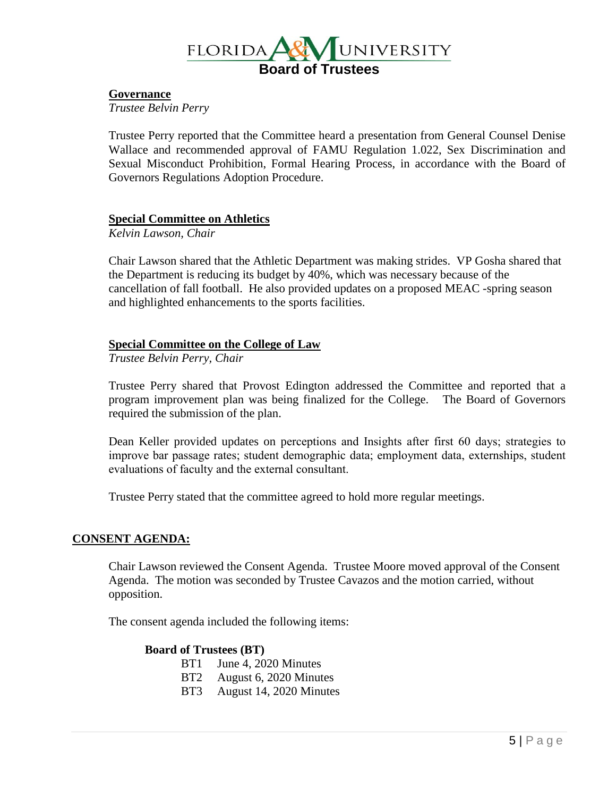

#### **Governance**

*Trustee Belvin Perry*

Trustee Perry reported that the Committee heard a presentation from General Counsel Denise Wallace and recommended approval of FAMU Regulation 1.022, Sex Discrimination and Sexual Misconduct Prohibition, Formal Hearing Process, in accordance with the Board of Governors Regulations Adoption Procedure.

### **Special Committee on Athletics**

*Kelvin Lawson, Chair*

Chair Lawson shared that the Athletic Department was making strides. VP Gosha shared that the Department is reducing its budget by 40%, which was necessary because of the cancellation of fall football. He also provided updates on a proposed MEAC -spring season and highlighted enhancements to the sports facilities.

#### **Special Committee on the College of Law**

*Trustee Belvin Perry, Chair*

Trustee Perry shared that Provost Edington addressed the Committee and reported that a program improvement plan was being finalized for the College. The Board of Governors required the submission of the plan.

Dean Keller provided updates on perceptions and Insights after first 60 days; strategies to improve bar passage rates; student demographic data; employment data, externships, student evaluations of faculty and the external consultant.

Trustee Perry stated that the committee agreed to hold more regular meetings.

#### **CONSENT AGENDA:**

Chair Lawson reviewed the Consent Agenda. Trustee Moore moved approval of the Consent Agenda. The motion was seconded by Trustee Cavazos and the motion carried, without opposition.

The consent agenda included the following items:

#### **Board of Trustees (BT)**

- BT1 June 4, 2020 Minutes
- BT2 August 6, 2020 Minutes
- BT3 August 14, 2020 Minutes